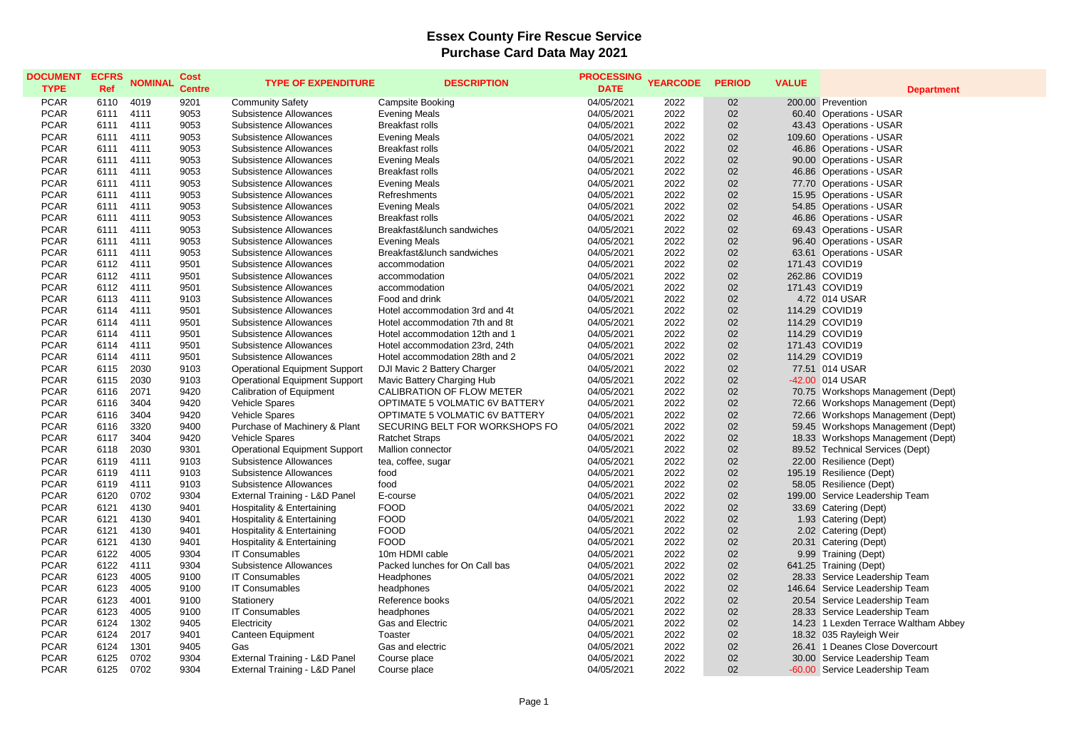## **Essex County Fire Rescue Service Purchase Card Data May 2021**

| <b>DOCUMENT</b><br><b>TYPE</b> | <b>ECFRS</b><br>Ref | <b>NOMINAL</b> | Cost<br><b>Centre</b> | <b>TYPE OF EXPENDITURE</b>            | <b>DESCRIPTION</b>             | <b>PROCESSING</b><br><b>DATE</b> | <b>YEARCODE</b> | <b>PERIOD</b> | <b>VALUE</b> | <b>Department</b>                    |
|--------------------------------|---------------------|----------------|-----------------------|---------------------------------------|--------------------------------|----------------------------------|-----------------|---------------|--------------|--------------------------------------|
| <b>PCAR</b>                    | 6110                | 4019           | 9201                  | <b>Community Safety</b>               | Campsite Booking               | 04/05/2021                       | 2022            | 02            |              | 200.00 Prevention                    |
| <b>PCAR</b>                    | 6111                | 4111           | 9053                  | Subsistence Allowances                | <b>Evening Meals</b>           | 04/05/2021                       | 2022            | 02            |              | 60.40 Operations - USAR              |
| <b>PCAR</b>                    | 6111                | 4111           | 9053                  | Subsistence Allowances                | <b>Breakfast rolls</b>         | 04/05/2021                       | 2022            | 02            |              | 43.43 Operations - USAR              |
| <b>PCAR</b>                    | 6111                | 4111           | 9053                  | Subsistence Allowances                | Evening Meals                  | 04/05/2021                       | 2022            | 02            |              | 109.60 Operations - USAR             |
| <b>PCAR</b>                    | 6111                | 4111           | 9053                  | Subsistence Allowances                | <b>Breakfast rolls</b>         | 04/05/2021                       | 2022            | 02            |              | 46.86 Operations - USAR              |
| <b>PCAR</b>                    | 6111                | 4111           | 9053                  | Subsistence Allowances                | <b>Evening Meals</b>           | 04/05/2021                       | 2022            | 02            |              | 90.00 Operations - USAR              |
| <b>PCAR</b>                    | 6111                | 4111           | 9053                  | Subsistence Allowances                | <b>Breakfast rolls</b>         | 04/05/2021                       | 2022            | 02            |              | 46.86 Operations - USAR              |
| <b>PCAR</b>                    | 6111                | 4111           | 9053                  | Subsistence Allowances                | <b>Evening Meals</b>           | 04/05/2021                       | 2022            | 02            |              | 77.70 Operations - USAR              |
| <b>PCAR</b>                    | 6111                | 4111           | 9053                  | Subsistence Allowances                | <b>Refreshments</b>            | 04/05/2021                       | 2022            | 02            |              | 15.95 Operations - USAR              |
| <b>PCAR</b>                    | 6111                | 4111           | 9053                  | Subsistence Allowances                | <b>Evening Meals</b>           | 04/05/2021                       | 2022            | 02            |              | 54.85 Operations - USAR              |
| <b>PCAR</b>                    | 6111                | 4111           | 9053                  | Subsistence Allowances                | <b>Breakfast rolls</b>         | 04/05/2021                       | 2022            | 02            |              | 46.86 Operations - USAR              |
| <b>PCAR</b>                    | 6111                | 4111           | 9053                  | Subsistence Allowances                | Breakfast&lunch sandwiches     | 04/05/2021                       | 2022            | 02            |              | 69.43 Operations - USAR              |
| <b>PCAR</b>                    | 6111                | 4111           | 9053                  | Subsistence Allowances                | <b>Evening Meals</b>           | 04/05/2021                       | 2022            | 02            |              | 96.40 Operations - USAR              |
| <b>PCAR</b>                    | 6111                | 4111           | 9053                  | Subsistence Allowances                | Breakfast&lunch sandwiches     | 04/05/2021                       | 2022            | 02            |              | 63.61 Operations - USAR              |
| <b>PCAR</b>                    | 6112                | 4111           | 9501                  | Subsistence Allowances                | accommodation                  | 04/05/2021                       | 2022            | 02            |              | 171.43 COVID19                       |
| <b>PCAR</b>                    | 6112                | 4111           | 9501                  | Subsistence Allowances                | accommodation                  | 04/05/2021                       | 2022            | 02            |              | 262.86 COVID19                       |
| <b>PCAR</b>                    | 6112                | 4111           | 9501                  | Subsistence Allowances                | accommodation                  | 04/05/2021                       | 2022            | 02            |              | 171.43 COVID19                       |
| <b>PCAR</b>                    | 6113                | 4111           | 9103                  | Subsistence Allowances                | Food and drink                 | 04/05/2021                       | 2022            | 02            |              | 4.72 014 USAR                        |
| <b>PCAR</b>                    | 6114                | 4111           | 9501                  | Subsistence Allowances                | Hotel accommodation 3rd and 4t | 04/05/2021                       | 2022            | 02            |              | 114.29 COVID19                       |
| <b>PCAR</b>                    | 6114                | 4111           | 9501                  | Subsistence Allowances                | Hotel accommodation 7th and 8t | 04/05/2021                       | 2022            | 02            |              | 114.29 COVID19                       |
| <b>PCAR</b>                    | 6114                | 4111           | 9501                  | Subsistence Allowances                | Hotel accommodation 12th and 1 | 04/05/2021                       | 2022            | 02            |              | 114.29 COVID19                       |
| <b>PCAR</b>                    | 6114                | 4111           | 9501                  | Subsistence Allowances                | Hotel accommodation 23rd, 24th | 04/05/2021                       | 2022            | 02            |              | 171.43 COVID19                       |
| <b>PCAR</b>                    | 6114                | 4111           | 9501                  | Subsistence Allowances                | Hotel accommodation 28th and 2 | 04/05/2021                       | 2022            | 02            |              | 114.29 COVID19                       |
| <b>PCAR</b>                    | 6115                | 2030           | 9103                  | <b>Operational Equipment Support</b>  | DJI Mavic 2 Battery Charger    | 04/05/2021                       | 2022            | 02            |              | 77.51 014 USAR                       |
| <b>PCAR</b>                    | 6115                | 2030           | 9103                  | <b>Operational Equipment Support</b>  | Mavic Battery Charging Hub     | 04/05/2021                       | 2022            | 02            |              | -42.00 014 USAR                      |
| <b>PCAR</b>                    | 6116                | 2071           | 9420                  | <b>Calibration of Equipment</b>       | CALIBRATION OF FLOW METER      | 04/05/2021                       | 2022            | 02            |              | 70.75 Workshops Management (Dept)    |
| <b>PCAR</b>                    | 6116                | 3404           | 9420                  | Vehicle Spares                        | OPTIMATE 5 VOLMATIC 6V BATTERY | 04/05/2021                       | 2022            | 02            |              | 72.66 Workshops Management (Dept)    |
| <b>PCAR</b>                    | 6116                | 3404           | 9420                  | Vehicle Spares                        | OPTIMATE 5 VOLMATIC 6V BATTERY | 04/05/2021                       | 2022            | 02            |              | 72.66 Workshops Management (Dept)    |
| <b>PCAR</b>                    | 6116                | 3320           | 9400                  | Purchase of Machinery & Plant         | SECURING BELT FOR WORKSHOPS FO | 04/05/2021                       | 2022            | 02            |              | 59.45 Workshops Management (Dept)    |
| <b>PCAR</b>                    | 6117                | 3404           | 9420                  | Vehicle Spares                        | <b>Ratchet Straps</b>          | 04/05/2021                       | 2022            | 02            |              | 18.33 Workshops Management (Dept)    |
| <b>PCAR</b>                    | 6118                | 2030           | 9301                  | <b>Operational Equipment Support</b>  | Mallion connector              | 04/05/2021                       | 2022            | 02            |              | 89.52 Technical Services (Dept)      |
| <b>PCAR</b>                    | 6119                | 4111           | 9103                  | Subsistence Allowances                | tea, coffee, sugar             | 04/05/2021                       | 2022            | 02            |              | 22.00 Resilience (Dept)              |
| <b>PCAR</b>                    | 6119                | 4111           | 9103                  | Subsistence Allowances                | food                           | 04/05/2021                       | 2022            | 02            |              | 195.19 Resilience (Dept)             |
| <b>PCAR</b>                    | 6119                | 4111           | 9103                  | Subsistence Allowances                | food                           | 04/05/2021                       | 2022            | 02            |              | 58.05 Resilience (Dept)              |
| <b>PCAR</b>                    | 6120                | 0702           | 9304                  | External Training - L&D Panel         | E-course                       | 04/05/2021                       | 2022            | 02            |              | 199.00 Service Leadership Team       |
| <b>PCAR</b>                    | 6121                | 4130           | 9401                  | <b>Hospitality &amp; Entertaining</b> | <b>FOOD</b>                    | 04/05/2021                       | 2022            | 02            |              | 33.69 Catering (Dept)                |
| <b>PCAR</b>                    | 6121                | 4130           | 9401                  | <b>Hospitality &amp; Entertaining</b> | <b>FOOD</b>                    | 04/05/2021                       | 2022            | 02            |              | 1.93 Catering (Dept)                 |
| <b>PCAR</b>                    | 6121                | 4130           | 9401                  | Hospitality & Entertaining            | <b>FOOD</b>                    | 04/05/2021                       | 2022            | 02            |              | 2.02 Catering (Dept)                 |
| <b>PCAR</b>                    | 6121                | 4130           | 9401                  | Hospitality & Entertaining            | <b>FOOD</b>                    | 04/05/2021                       | 2022            | 02            |              | 20.31 Catering (Dept)                |
| <b>PCAR</b>                    | 6122                | 4005           | 9304                  | <b>IT Consumables</b>                 | 10m HDMI cable                 | 04/05/2021                       | 2022            | 02            |              | 9.99 Training (Dept)                 |
| <b>PCAR</b>                    | 6122                | 4111           | 9304                  | Subsistence Allowances                | Packed lunches for On Call bas | 04/05/2021                       | 2022            | 02            |              | 641.25 Training (Dept)               |
| <b>PCAR</b>                    | 6123                | 4005           | 9100                  | <b>IT Consumables</b>                 | Headphones                     | 04/05/2021                       | 2022            | 02            |              | 28.33 Service Leadership Team        |
| <b>PCAR</b>                    | 6123                | 4005           | 9100                  | <b>IT Consumables</b>                 | headphones                     | 04/05/2021                       | 2022            | 02            |              | 146.64 Service Leadership Team       |
| <b>PCAR</b>                    | 6123                | 4001           | 9100                  | Stationery                            | Reference books                | 04/05/2021                       | 2022            | 02            |              | 20.54 Service Leadership Team        |
| <b>PCAR</b>                    | 6123                | 4005           | 9100                  | <b>IT Consumables</b>                 | headphones                     | 04/05/2021                       | 2022            | 02            |              | 28.33 Service Leadership Team        |
| <b>PCAR</b>                    | 6124                | 1302           | 9405                  | Electricity                           | Gas and Electric               | 04/05/2021                       | 2022            | 02            |              | 14.23 1 Lexden Terrace Waltham Abbey |
| <b>PCAR</b>                    | 6124                | 2017           | 9401                  | Canteen Equipment                     | <b>Toaster</b>                 | 04/05/2021                       | 2022            | 02            |              | 18.32 035 Rayleigh Weir              |
| <b>PCAR</b>                    | 6124                | 1301           | 9405                  | Gas                                   | Gas and electric               | 04/05/2021                       | 2022            | 02            |              | 26.41 1 Deanes Close Dovercourt      |
| <b>PCAR</b>                    | 6125                | 0702           | 9304                  | External Training - L&D Panel         | Course place                   | 04/05/2021                       | 2022            | 02            |              | 30.00 Service Leadership Team        |
| <b>PCAR</b>                    | 6125                | 0702           | 9304                  | External Training - L&D Panel         | Course place                   | 04/05/2021                       | 2022            | 02            |              | -60.00 Service Leadership Team       |